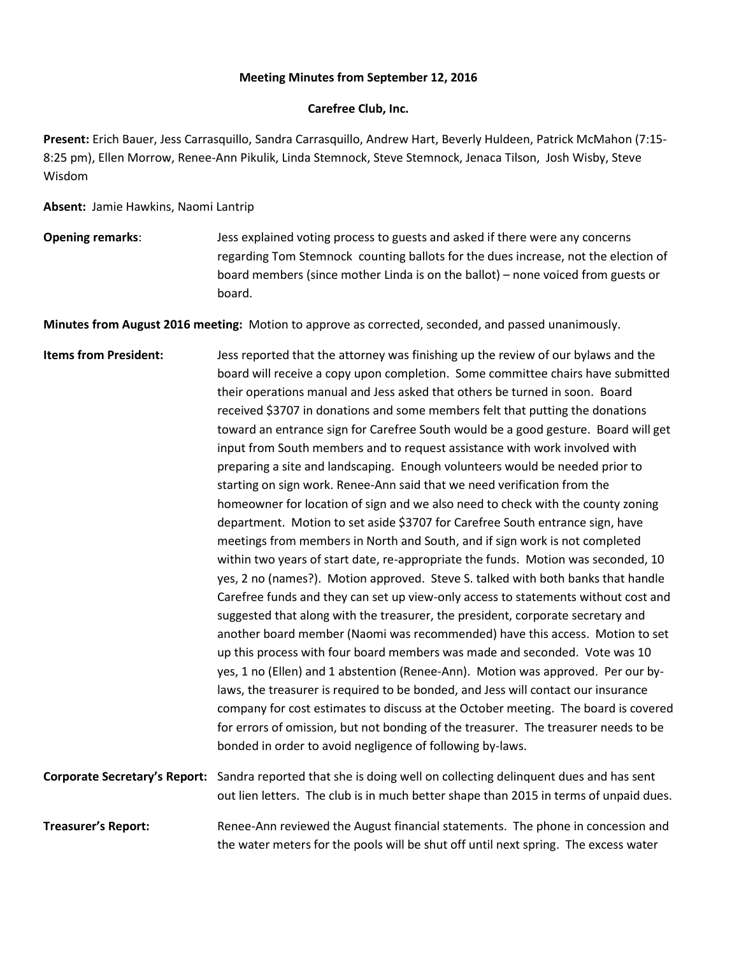## **Meeting Minutes from September 12, 2016**

## **Carefree Club, Inc.**

**Present:** Erich Bauer, Jess Carrasquillo, Sandra Carrasquillo, Andrew Hart, Beverly Huldeen, Patrick McMahon (7:15- 8:25 pm), Ellen Morrow, Renee-Ann Pikulik, Linda Stemnock, Steve Stemnock, Jenaca Tilson, Josh Wisby, Steve Wisdom

**Absent:** Jamie Hawkins, Naomi Lantrip

**Opening remarks**: Jess explained voting process to guests and asked if there were any concerns regarding Tom Stemnock counting ballots for the dues increase, not the election of board members (since mother Linda is on the ballot) – none voiced from guests or board.

**Minutes from August 2016 meeting:** Motion to approve as corrected, seconded, and passed unanimously.

- **Items from President:** Jess reported that the attorney was finishing up the review of our bylaws and the board will receive a copy upon completion. Some committee chairs have submitted their operations manual and Jess asked that others be turned in soon. Board received \$3707 in donations and some members felt that putting the donations toward an entrance sign for Carefree South would be a good gesture. Board will get input from South members and to request assistance with work involved with preparing a site and landscaping. Enough volunteers would be needed prior to starting on sign work. Renee-Ann said that we need verification from the homeowner for location of sign and we also need to check with the county zoning department. Motion to set aside \$3707 for Carefree South entrance sign, have meetings from members in North and South, and if sign work is not completed within two years of start date, re-appropriate the funds. Motion was seconded, 10 yes, 2 no (names?). Motion approved. Steve S. talked with both banks that handle Carefree funds and they can set up view-only access to statements without cost and suggested that along with the treasurer, the president, corporate secretary and another board member (Naomi was recommended) have this access. Motion to set up this process with four board members was made and seconded. Vote was 10 yes, 1 no (Ellen) and 1 abstention (Renee-Ann). Motion was approved. Per our bylaws, the treasurer is required to be bonded, and Jess will contact our insurance company for cost estimates to discuss at the October meeting. The board is covered for errors of omission, but not bonding of the treasurer. The treasurer needs to be bonded in order to avoid negligence of following by-laws. **Corporate Secretary's Report:** Sandra reported that she is doing well on collecting delinquent dues and has sent
- out lien letters. The club is in much better shape than 2015 in terms of unpaid dues. **Treasurer's Report:** Renee-Ann reviewed the August financial statements. The phone in concession and the water meters for the pools will be shut off until next spring. The excess water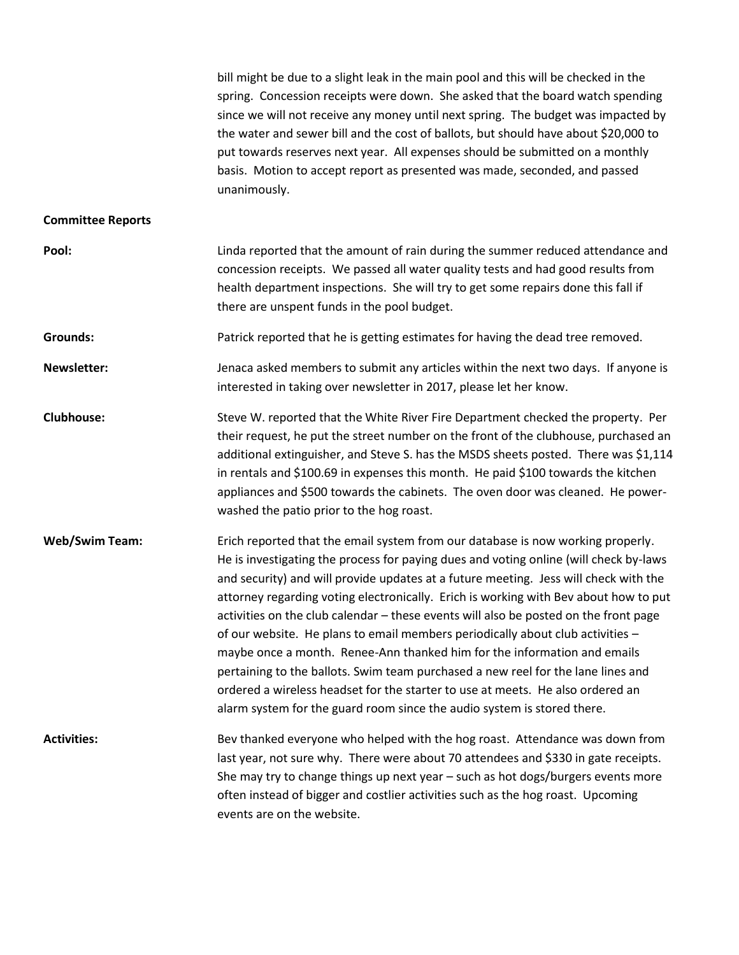bill might be due to a slight leak in the main pool and this will be checked in the spring. Concession receipts were down. She asked that the board watch spending since we will not receive any money until next spring. The budget was impacted by the water and sewer bill and the cost of ballots, but should have about \$20,000 to put towards reserves next year. All expenses should be submitted on a monthly basis. Motion to accept report as presented was made, seconded, and passed unanimously.

## **Committee Reports**

| Pool:                 | Linda reported that the amount of rain during the summer reduced attendance and<br>concession receipts. We passed all water quality tests and had good results from<br>health department inspections. She will try to get some repairs done this fall if<br>there are unspent funds in the pool budget.                                                                                                                                                                                                                                                                                                                                                                                                                                                                                                                                                         |
|-----------------------|-----------------------------------------------------------------------------------------------------------------------------------------------------------------------------------------------------------------------------------------------------------------------------------------------------------------------------------------------------------------------------------------------------------------------------------------------------------------------------------------------------------------------------------------------------------------------------------------------------------------------------------------------------------------------------------------------------------------------------------------------------------------------------------------------------------------------------------------------------------------|
| Grounds:              | Patrick reported that he is getting estimates for having the dead tree removed.                                                                                                                                                                                                                                                                                                                                                                                                                                                                                                                                                                                                                                                                                                                                                                                 |
| <b>Newsletter:</b>    | Jenaca asked members to submit any articles within the next two days. If anyone is<br>interested in taking over newsletter in 2017, please let her know.                                                                                                                                                                                                                                                                                                                                                                                                                                                                                                                                                                                                                                                                                                        |
| <b>Clubhouse:</b>     | Steve W. reported that the White River Fire Department checked the property. Per<br>their request, he put the street number on the front of the clubhouse, purchased an<br>additional extinguisher, and Steve S. has the MSDS sheets posted. There was \$1,114<br>in rentals and \$100.69 in expenses this month. He paid \$100 towards the kitchen<br>appliances and \$500 towards the cabinets. The oven door was cleaned. He power-<br>washed the patio prior to the hog roast.                                                                                                                                                                                                                                                                                                                                                                              |
| <b>Web/Swim Team:</b> | Erich reported that the email system from our database is now working properly.<br>He is investigating the process for paying dues and voting online (will check by-laws<br>and security) and will provide updates at a future meeting. Jess will check with the<br>attorney regarding voting electronically. Erich is working with Bev about how to put<br>activities on the club calendar - these events will also be posted on the front page<br>of our website. He plans to email members periodically about club activities -<br>maybe once a month. Renee-Ann thanked him for the information and emails<br>pertaining to the ballots. Swim team purchased a new reel for the lane lines and<br>ordered a wireless headset for the starter to use at meets. He also ordered an<br>alarm system for the guard room since the audio system is stored there. |
| <b>Activities:</b>    | Bev thanked everyone who helped with the hog roast. Attendance was down from<br>last year, not sure why. There were about 70 attendees and \$330 in gate receipts.<br>She may try to change things up next year - such as hot dogs/burgers events more<br>often instead of bigger and costlier activities such as the hog roast. Upcoming<br>events are on the website.                                                                                                                                                                                                                                                                                                                                                                                                                                                                                         |